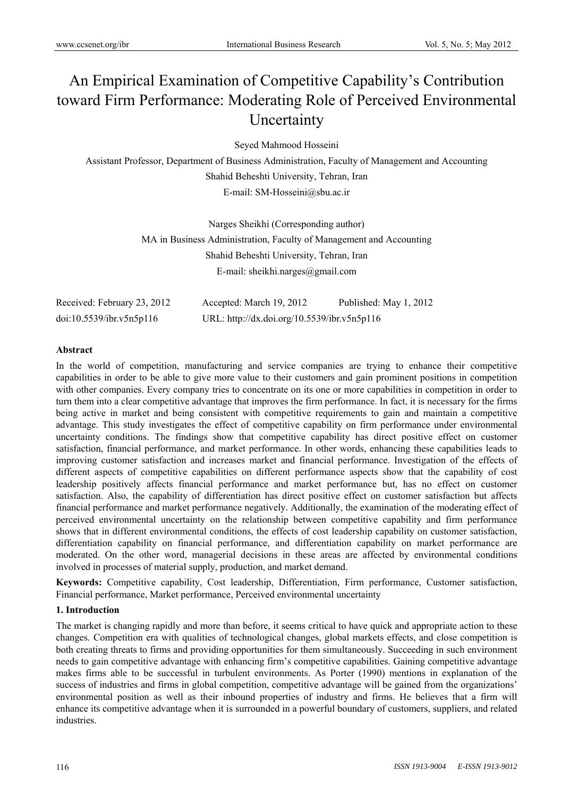# An Empirical Examination of Competitive Capability's Contribution toward Firm Performance: Moderating Role of Perceived Environmental Uncertainty

Seyed Mahmood Hosseini

Assistant Professor, Department of Business Administration, Faculty of Management and Accounting Shahid Beheshti University, Tehran, Iran E-mail: SM-Hosseini@sbu.ac.ir

> Narges Sheikhi (Corresponding author) MA in Business Administration, Faculty of Management and Accounting Shahid Beheshti University, Tehran, Iran E-mail: sheikhi.narges@gmail.com

| Received: February 23, 2012 | Accepted: March 19, 2012                    | Published: May 1, 2012 |
|-----------------------------|---------------------------------------------|------------------------|
| doi:10.5539/ibr.v5n5p116    | URL: http://dx.doi.org/10.5539/ibr.v5n5p116 |                        |

## **Abstract**

In the world of competition, manufacturing and service companies are trying to enhance their competitive capabilities in order to be able to give more value to their customers and gain prominent positions in competition with other companies. Every company tries to concentrate on its one or more capabilities in competition in order to turn them into a clear competitive advantage that improves the firm performance. In fact, it is necessary for the firms being active in market and being consistent with competitive requirements to gain and maintain a competitive advantage. This study investigates the effect of competitive capability on firm performance under environmental uncertainty conditions. The findings show that competitive capability has direct positive effect on customer satisfaction, financial performance, and market performance. In other words, enhancing these capabilities leads to improving customer satisfaction and increases market and financial performance. Investigation of the effects of different aspects of competitive capabilities on different performance aspects show that the capability of cost leadership positively affects financial performance and market performance but, has no effect on customer satisfaction. Also, the capability of differentiation has direct positive effect on customer satisfaction but affects financial performance and market performance negatively. Additionally, the examination of the moderating effect of perceived environmental uncertainty on the relationship between competitive capability and firm performance shows that in different environmental conditions, the effects of cost leadership capability on customer satisfaction, differentiation capability on financial performance, and differentiation capability on market performance are moderated. On the other word, managerial decisions in these areas are affected by environmental conditions involved in processes of material supply, production, and market demand.

**Keywords:** Competitive capability, Cost leadership, Differentiation, Firm performance, Customer satisfaction, Financial performance, Market performance, Perceived environmental uncertainty

# **1. Introduction**

The market is changing rapidly and more than before, it seems critical to have quick and appropriate action to these changes. Competition era with qualities of technological changes, global markets effects, and close competition is both creating threats to firms and providing opportunities for them simultaneously. Succeeding in such environment needs to gain competitive advantage with enhancing firm's competitive capabilities. Gaining competitive advantage makes firms able to be successful in turbulent environments. As Porter (1990) mentions in explanation of the success of industries and firms in global competition, competitive advantage will be gained from the organizations' environmental position as well as their inbound properties of industry and firms. He believes that a firm will enhance its competitive advantage when it is surrounded in a powerful boundary of customers, suppliers, and related industries.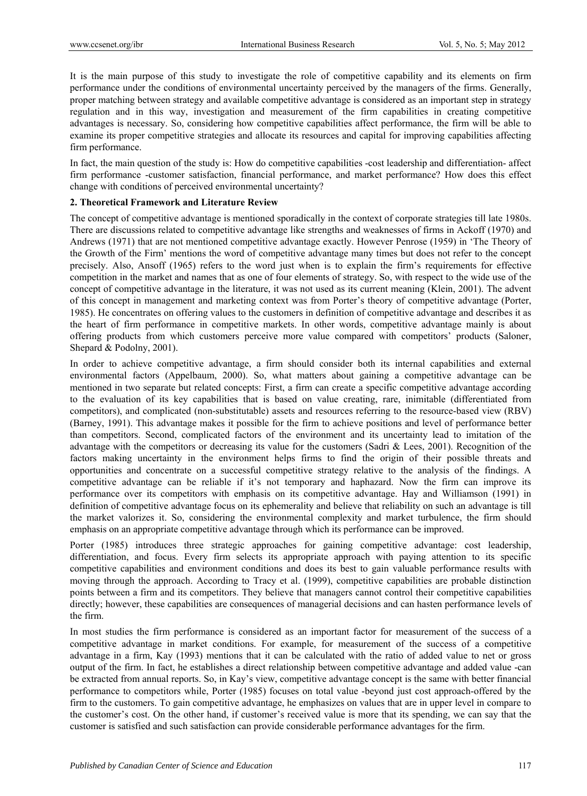It is the main purpose of this study to investigate the role of competitive capability and its elements on firm performance under the conditions of environmental uncertainty perceived by the managers of the firms. Generally, proper matching between strategy and available competitive advantage is considered as an important step in strategy regulation and in this way, investigation and measurement of the firm capabilities in creating competitive advantages is necessary. So, considering how competitive capabilities affect performance, the firm will be able to examine its proper competitive strategies and allocate its resources and capital for improving capabilities affecting firm performance.

In fact, the main question of the study is: How do competitive capabilities -cost leadership and differentiation- affect firm performance -customer satisfaction, financial performance, and market performance? How does this effect change with conditions of perceived environmental uncertainty?

# **2. Theoretical Framework and Literature Review**

The concept of competitive advantage is mentioned sporadically in the context of corporate strategies till late 1980s. There are discussions related to competitive advantage like strengths and weaknesses of firms in Ackoff (1970) and Andrews (1971) that are not mentioned competitive advantage exactly. However Penrose (1959) in 'The Theory of the Growth of the Firm' mentions the word of competitive advantage many times but does not refer to the concept precisely. Also, Ansoff (1965) refers to the word just when is to explain the firm's requirements for effective competition in the market and names that as one of four elements of strategy. So, with respect to the wide use of the concept of competitive advantage in the literature, it was not used as its current meaning (Klein, 2001). The advent of this concept in management and marketing context was from Porter's theory of competitive advantage (Porter, 1985). He concentrates on offering values to the customers in definition of competitive advantage and describes it as the heart of firm performance in competitive markets. In other words, competitive advantage mainly is about offering products from which customers perceive more value compared with competitors' products (Saloner, Shepard & Podolny, 2001).

In order to achieve competitive advantage, a firm should consider both its internal capabilities and external environmental factors (Appelbaum, 2000). So, what matters about gaining a competitive advantage can be mentioned in two separate but related concepts: First, a firm can create a specific competitive advantage according to the evaluation of its key capabilities that is based on value creating, rare, inimitable (differentiated from competitors), and complicated (non-substitutable) assets and resources referring to the resource-based view (RBV) (Barney, 1991). This advantage makes it possible for the firm to achieve positions and level of performance better than competitors. Second, complicated factors of the environment and its uncertainty lead to imitation of the advantage with the competitors or decreasing its value for the customers (Sadri & Lees, 2001). Recognition of the factors making uncertainty in the environment helps firms to find the origin of their possible threats and opportunities and concentrate on a successful competitive strategy relative to the analysis of the findings. A competitive advantage can be reliable if it's not temporary and haphazard. Now the firm can improve its performance over its competitors with emphasis on its competitive advantage. Hay and Williamson (1991) in definition of competitive advantage focus on its ephemerality and believe that reliability on such an advantage is till the market valorizes it. So, considering the environmental complexity and market turbulence, the firm should emphasis on an appropriate competitive advantage through which its performance can be improved.

Porter (1985) introduces three strategic approaches for gaining competitive advantage: cost leadership, differentiation, and focus. Every firm selects its appropriate approach with paying attention to its specific competitive capabilities and environment conditions and does its best to gain valuable performance results with moving through the approach. According to Tracy et al. (1999), competitive capabilities are probable distinction points between a firm and its competitors. They believe that managers cannot control their competitive capabilities directly; however, these capabilities are consequences of managerial decisions and can hasten performance levels of the firm.

In most studies the firm performance is considered as an important factor for measurement of the success of a competitive advantage in market conditions. For example, for measurement of the success of a competitive advantage in a firm, Kay (1993) mentions that it can be calculated with the ratio of added value to net or gross output of the firm. In fact, he establishes a direct relationship between competitive advantage and added value -can be extracted from annual reports. So, in Kay's view, competitive advantage concept is the same with better financial performance to competitors while, Porter (1985) focuses on total value -beyond just cost approach-offered by the firm to the customers. To gain competitive advantage, he emphasizes on values that are in upper level in compare to the customer's cost. On the other hand, if customer's received value is more that its spending, we can say that the customer is satisfied and such satisfaction can provide considerable performance advantages for the firm.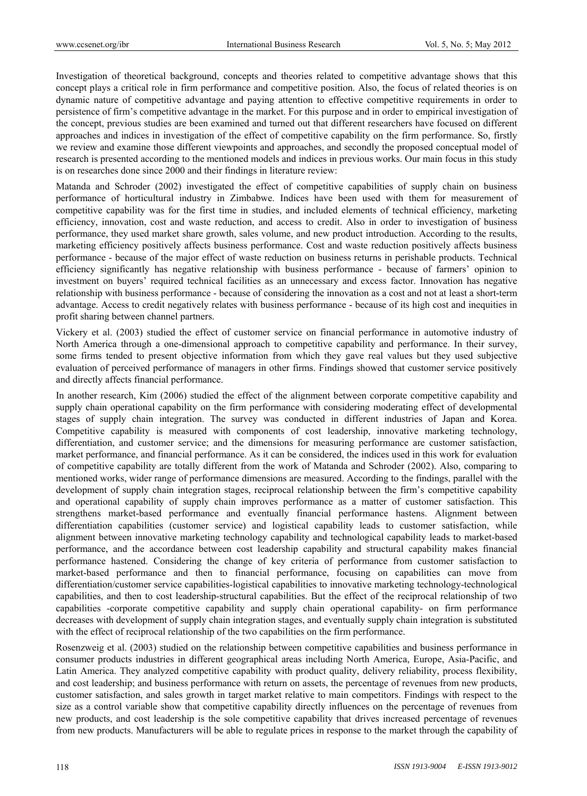Investigation of theoretical background, concepts and theories related to competitive advantage shows that this concept plays a critical role in firm performance and competitive position. Also, the focus of related theories is on dynamic nature of competitive advantage and paying attention to effective competitive requirements in order to persistence of firm's competitive advantage in the market. For this purpose and in order to empirical investigation of the concept, previous studies are been examined and turned out that different researchers have focused on different approaches and indices in investigation of the effect of competitive capability on the firm performance. So, firstly we review and examine those different viewpoints and approaches, and secondly the proposed conceptual model of research is presented according to the mentioned models and indices in previous works. Our main focus in this study is on researches done since 2000 and their findings in literature review:

Matanda and Schroder (2002) investigated the effect of competitive capabilities of supply chain on business performance of horticultural industry in Zimbabwe. Indices have been used with them for measurement of competitive capability was for the first time in studies, and included elements of technical efficiency, marketing efficiency, innovation, cost and waste reduction, and access to credit. Also in order to investigation of business performance, they used market share growth, sales volume, and new product introduction. According to the results, marketing efficiency positively affects business performance. Cost and waste reduction positively affects business performance - because of the major effect of waste reduction on business returns in perishable products. Technical efficiency significantly has negative relationship with business performance - because of farmers' opinion to investment on buyers' required technical facilities as an unnecessary and excess factor. Innovation has negative relationship with business performance - because of considering the innovation as a cost and not at least a short-term advantage. Access to credit negatively relates with business performance - because of its high cost and inequities in profit sharing between channel partners.

Vickery et al. (2003) studied the effect of customer service on financial performance in automotive industry of North America through a one-dimensional approach to competitive capability and performance. In their survey, some firms tended to present objective information from which they gave real values but they used subjective evaluation of perceived performance of managers in other firms. Findings showed that customer service positively and directly affects financial performance.

In another research, Kim (2006) studied the effect of the alignment between corporate competitive capability and supply chain operational capability on the firm performance with considering moderating effect of developmental stages of supply chain integration. The survey was conducted in different industries of Japan and Korea. Competitive capability is measured with components of cost leadership, innovative marketing technology, differentiation, and customer service; and the dimensions for measuring performance are customer satisfaction, market performance, and financial performance. As it can be considered, the indices used in this work for evaluation of competitive capability are totally different from the work of Matanda and Schroder (2002). Also, comparing to mentioned works, wider range of performance dimensions are measured. According to the findings, parallel with the development of supply chain integration stages, reciprocal relationship between the firm's competitive capability and operational capability of supply chain improves performance as a matter of customer satisfaction. This strengthens market-based performance and eventually financial performance hastens. Alignment between differentiation capabilities (customer service) and logistical capability leads to customer satisfaction, while alignment between innovative marketing technology capability and technological capability leads to market-based performance, and the accordance between cost leadership capability and structural capability makes financial performance hastened. Considering the change of key criteria of performance from customer satisfaction to market-based performance and then to financial performance, focusing on capabilities can move from differentiation/customer service capabilities-logistical capabilities to innovative marketing technology-technological capabilities, and then to cost leadership-structural capabilities. But the effect of the reciprocal relationship of two capabilities -corporate competitive capability and supply chain operational capability- on firm performance decreases with development of supply chain integration stages, and eventually supply chain integration is substituted with the effect of reciprocal relationship of the two capabilities on the firm performance.

Rosenzweig et al. (2003) studied on the relationship between competitive capabilities and business performance in consumer products industries in different geographical areas including North America, Europe, Asia-Pacific, and Latin America. They analyzed competitive capability with product quality, delivery reliability, process flexibility, and cost leadership; and business performance with return on assets, the percentage of revenues from new products, customer satisfaction, and sales growth in target market relative to main competitors. Findings with respect to the size as a control variable show that competitive capability directly influences on the percentage of revenues from new products, and cost leadership is the sole competitive capability that drives increased percentage of revenues from new products. Manufacturers will be able to regulate prices in response to the market through the capability of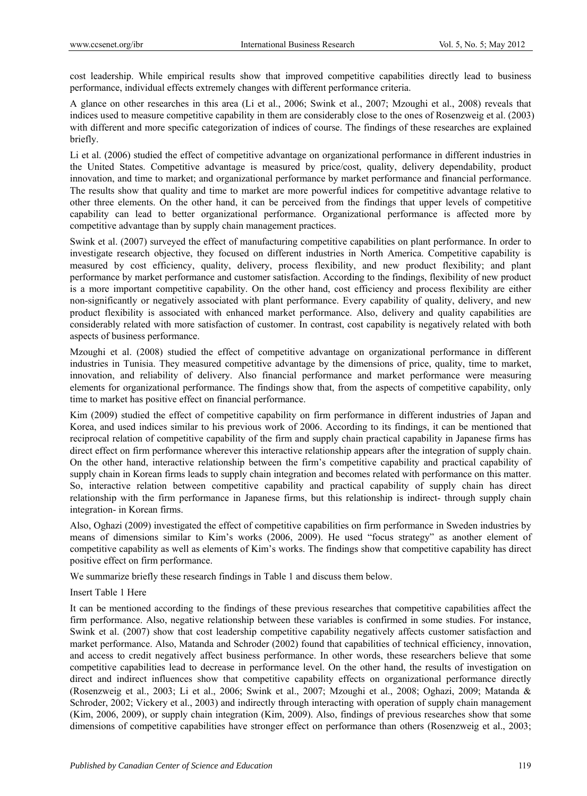cost leadership. While empirical results show that improved competitive capabilities directly lead to business performance, individual effects extremely changes with different performance criteria.

A glance on other researches in this area (Li et al., 2006; Swink et al., 2007; Mzoughi et al., 2008) reveals that indices used to measure competitive capability in them are considerably close to the ones of Rosenzweig et al. (2003) with different and more specific categorization of indices of course. The findings of these researches are explained briefly.

Li et al. (2006) studied the effect of competitive advantage on organizational performance in different industries in the United States. Competitive advantage is measured by price/cost, quality, delivery dependability, product innovation, and time to market; and organizational performance by market performance and financial performance. The results show that quality and time to market are more powerful indices for competitive advantage relative to other three elements. On the other hand, it can be perceived from the findings that upper levels of competitive capability can lead to better organizational performance. Organizational performance is affected more by competitive advantage than by supply chain management practices.

Swink et al. (2007) surveyed the effect of manufacturing competitive capabilities on plant performance. In order to investigate research objective, they focused on different industries in North America. Competitive capability is measured by cost efficiency, quality, delivery, process flexibility, and new product flexibility; and plant performance by market performance and customer satisfaction. According to the findings, flexibility of new product is a more important competitive capability. On the other hand, cost efficiency and process flexibility are either non-significantly or negatively associated with plant performance. Every capability of quality, delivery, and new product flexibility is associated with enhanced market performance. Also, delivery and quality capabilities are considerably related with more satisfaction of customer. In contrast, cost capability is negatively related with both aspects of business performance.

Mzoughi et al. (2008) studied the effect of competitive advantage on organizational performance in different industries in Tunisia. They measured competitive advantage by the dimensions of price, quality, time to market, innovation, and reliability of delivery. Also financial performance and market performance were measuring elements for organizational performance. The findings show that, from the aspects of competitive capability, only time to market has positive effect on financial performance.

Kim (2009) studied the effect of competitive capability on firm performance in different industries of Japan and Korea, and used indices similar to his previous work of 2006. According to its findings, it can be mentioned that reciprocal relation of competitive capability of the firm and supply chain practical capability in Japanese firms has direct effect on firm performance wherever this interactive relationship appears after the integration of supply chain. On the other hand, interactive relationship between the firm's competitive capability and practical capability of supply chain in Korean firms leads to supply chain integration and becomes related with performance on this matter. So, interactive relation between competitive capability and practical capability of supply chain has direct relationship with the firm performance in Japanese firms, but this relationship is indirect- through supply chain integration- in Korean firms.

Also, Oghazi (2009) investigated the effect of competitive capabilities on firm performance in Sweden industries by means of dimensions similar to Kim's works (2006, 2009). He used "focus strategy" as another element of competitive capability as well as elements of Kim's works. The findings show that competitive capability has direct positive effect on firm performance.

We summarize briefly these research findings in Table 1 and discuss them below.

# Insert Table 1 Here

It can be mentioned according to the findings of these previous researches that competitive capabilities affect the firm performance. Also, negative relationship between these variables is confirmed in some studies. For instance, Swink et al. (2007) show that cost leadership competitive capability negatively affects customer satisfaction and market performance. Also, Matanda and Schroder (2002) found that capabilities of technical efficiency, innovation, and access to credit negatively affect business performance. In other words, these researchers believe that some competitive capabilities lead to decrease in performance level. On the other hand, the results of investigation on direct and indirect influences show that competitive capability effects on organizational performance directly (Rosenzweig et al., 2003; Li et al., 2006; Swink et al., 2007; Mzoughi et al., 2008; Oghazi, 2009; Matanda & Schroder, 2002; Vickery et al., 2003) and indirectly through interacting with operation of supply chain management (Kim, 2006, 2009), or supply chain integration (Kim, 2009). Also, findings of previous researches show that some dimensions of competitive capabilities have stronger effect on performance than others (Rosenzweig et al., 2003;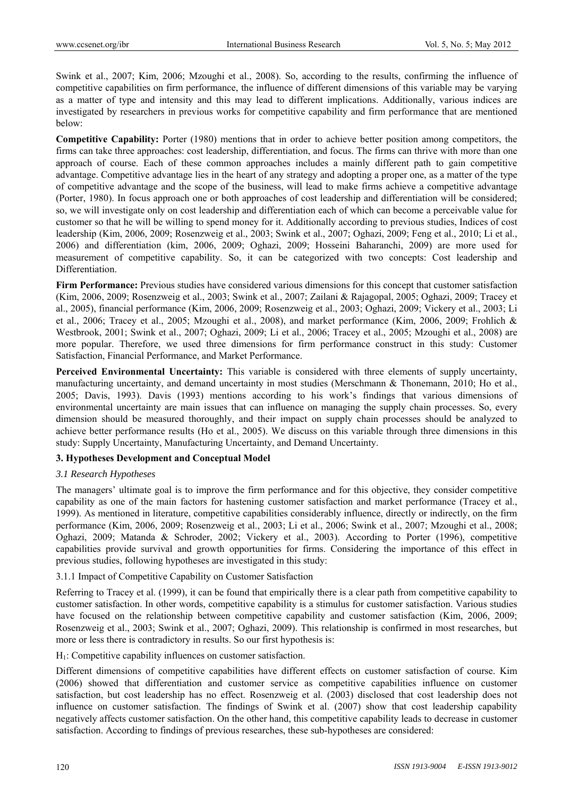Swink et al., 2007; Kim, 2006; Mzoughi et al., 2008). So, according to the results, confirming the influence of competitive capabilities on firm performance, the influence of different dimensions of this variable may be varying as a matter of type and intensity and this may lead to different implications. Additionally, various indices are investigated by researchers in previous works for competitive capability and firm performance that are mentioned below:

**Competitive Capability:** Porter (1980) mentions that in order to achieve better position among competitors, the firms can take three approaches: cost leadership, differentiation, and focus. The firms can thrive with more than one approach of course. Each of these common approaches includes a mainly different path to gain competitive advantage. Competitive advantage lies in the heart of any strategy and adopting a proper one, as a matter of the type of competitive advantage and the scope of the business, will lead to make firms achieve a competitive advantage (Porter, 1980). In focus approach one or both approaches of cost leadership and differentiation will be considered; so, we will investigate only on cost leadership and differentiation each of which can become a perceivable value for customer so that he will be willing to spend money for it. Additionally according to previous studies, Indices of cost leadership (Kim, 2006, 2009; Rosenzweig et al., 2003; Swink et al., 2007; Oghazi, 2009; Feng et al., 2010; Li et al., 2006) and differentiation (kim, 2006, 2009; Oghazi, 2009; Hosseini Baharanchi, 2009) are more used for measurement of competitive capability. So, it can be categorized with two concepts: Cost leadership and Differentiation.

**Firm Performance:** Previous studies have considered various dimensions for this concept that customer satisfaction (Kim, 2006, 2009; Rosenzweig et al., 2003; Swink et al., 2007; Zailani & Rajagopal, 2005; Oghazi, 2009; Tracey et al., 2005), financial performance (Kim, 2006, 2009; Rosenzweig et al., 2003; Oghazi, 2009; Vickery et al., 2003; Li et al., 2006; Tracey et al., 2005; Mzoughi et al., 2008), and market performance (Kim, 2006, 2009; Frohlich & Westbrook, 2001; Swink et al., 2007; Oghazi, 2009; Li et al., 2006; Tracey et al., 2005; Mzoughi et al., 2008) are more popular. Therefore, we used three dimensions for firm performance construct in this study: Customer Satisfaction, Financial Performance, and Market Performance.

**Perceived Environmental Uncertainty:** This variable is considered with three elements of supply uncertainty, manufacturing uncertainty, and demand uncertainty in most studies (Merschmann & Thonemann, 2010; Ho et al., 2005; Davis, 1993). Davis (1993) mentions according to his work's findings that various dimensions of environmental uncertainty are main issues that can influence on managing the supply chain processes. So, every dimension should be measured thoroughly, and their impact on supply chain processes should be analyzed to achieve better performance results (Ho et al., 2005). We discuss on this variable through three dimensions in this study: Supply Uncertainty, Manufacturing Uncertainty, and Demand Uncertainty.

## **3. Hypotheses Development and Conceptual Model**

#### *3.1 Research Hypotheses*

The managers' ultimate goal is to improve the firm performance and for this objective, they consider competitive capability as one of the main factors for hastening customer satisfaction and market performance (Tracey et al., 1999). As mentioned in literature, competitive capabilities considerably influence, directly or indirectly, on the firm performance (Kim, 2006, 2009; Rosenzweig et al., 2003; Li et al., 2006; Swink et al., 2007; Mzoughi et al., 2008; Oghazi, 2009; Matanda & Schroder, 2002; Vickery et al., 2003). According to Porter (1996), competitive capabilities provide survival and growth opportunities for firms. Considering the importance of this effect in previous studies, following hypotheses are investigated in this study:

#### 3.1.1 Impact of Competitive Capability on Customer Satisfaction

Referring to Tracey et al. (1999), it can be found that empirically there is a clear path from competitive capability to customer satisfaction. In other words, competitive capability is a stimulus for customer satisfaction. Various studies have focused on the relationship between competitive capability and customer satisfaction (Kim, 2006, 2009; Rosenzweig et al., 2003; Swink et al., 2007; Oghazi, 2009). This relationship is confirmed in most researches, but more or less there is contradictory in results. So our first hypothesis is:

H1: Competitive capability influences on customer satisfaction.

Different dimensions of competitive capabilities have different effects on customer satisfaction of course. Kim (2006) showed that differentiation and customer service as competitive capabilities influence on customer satisfaction, but cost leadership has no effect. Rosenzweig et al. (2003) disclosed that cost leadership does not influence on customer satisfaction. The findings of Swink et al. (2007) show that cost leadership capability negatively affects customer satisfaction. On the other hand, this competitive capability leads to decrease in customer satisfaction. According to findings of previous researches, these sub-hypotheses are considered: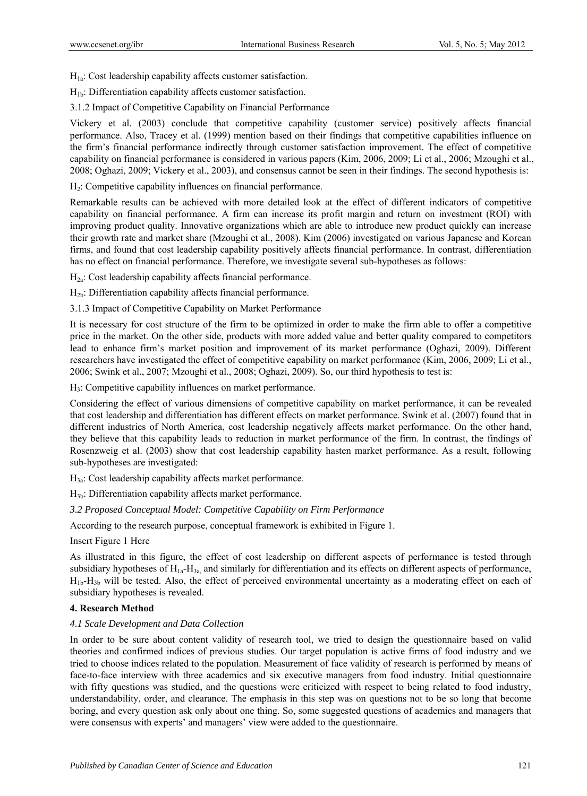$H_{1a}$ : Cost leadership capability affects customer satisfaction.

 $H_{1b}$ : Differentiation capability affects customer satisfaction.

3.1.2 Impact of Competitive Capability on Financial Performance

Vickery et al. (2003) conclude that competitive capability (customer service) positively affects financial performance. Also, Tracey et al. (1999) mention based on their findings that competitive capabilities influence on the firm's financial performance indirectly through customer satisfaction improvement. The effect of competitive capability on financial performance is considered in various papers (Kim, 2006, 2009; Li et al., 2006; Mzoughi et al., 2008; Oghazi, 2009; Vickery et al., 2003), and consensus cannot be seen in their findings. The second hypothesis is:

H<sub>2</sub>: Competitive capability influences on financial performance.

Remarkable results can be achieved with more detailed look at the effect of different indicators of competitive capability on financial performance. A firm can increase its profit margin and return on investment (ROI) with improving product quality. Innovative organizations which are able to introduce new product quickly can increase their growth rate and market share (Mzoughi et al., 2008). Kim (2006) investigated on various Japanese and Korean firms, and found that cost leadership capability positively affects financial performance. In contrast, differentiation has no effect on financial performance. Therefore, we investigate several sub-hypotheses as follows:

 $H<sub>2a</sub>$ : Cost leadership capability affects financial performance.

 $H<sub>2b</sub>$ : Differentiation capability affects financial performance.

3.1.3 Impact of Competitive Capability on Market Performance

It is necessary for cost structure of the firm to be optimized in order to make the firm able to offer a competitive price in the market. On the other side, products with more added value and better quality compared to competitors lead to enhance firm's market position and improvement of its market performance (Oghazi, 2009). Different researchers have investigated the effect of competitive capability on market performance (Kim, 2006, 2009; Li et al., 2006; Swink et al., 2007; Mzoughi et al., 2008; Oghazi, 2009). So, our third hypothesis to test is:

H<sub>3</sub>: Competitive capability influences on market performance.

Considering the effect of various dimensions of competitive capability on market performance, it can be revealed that cost leadership and differentiation has different effects on market performance. Swink et al. (2007) found that in different industries of North America, cost leadership negatively affects market performance. On the other hand, they believe that this capability leads to reduction in market performance of the firm. In contrast, the findings of Rosenzweig et al. (2003) show that cost leadership capability hasten market performance. As a result, following sub-hypotheses are investigated:

 $H_{3a}$ : Cost leadership capability affects market performance.

H3b: Differentiation capability affects market performance.

*3.2 Proposed Conceptual Model: Competitive Capability on Firm Performance* 

According to the research purpose, conceptual framework is exhibited in Figure 1.

Insert Figure 1 Here

As illustrated in this figure, the effect of cost leadership on different aspects of performance is tested through subsidiary hypotheses of  $H_{1a}$ - $H_{3a}$ , and similarly for differentiation and its effects on different aspects of performance,  $H_{1b}$ - $H_{3b}$  will be tested. Also, the effect of perceived environmental uncertainty as a moderating effect on each of subsidiary hypotheses is revealed.

## **4. Research Method**

## *4.1 Scale Development and Data Collection*

In order to be sure about content validity of research tool, we tried to design the questionnaire based on valid theories and confirmed indices of previous studies. Our target population is active firms of food industry and we tried to choose indices related to the population. Measurement of face validity of research is performed by means of face-to-face interview with three academics and six executive managers from food industry. Initial questionnaire with fifty questions was studied, and the questions were criticized with respect to being related to food industry, understandability, order, and clearance. The emphasis in this step was on questions not to be so long that become boring, and every question ask only about one thing. So, some suggested questions of academics and managers that were consensus with experts' and managers' view were added to the questionnaire.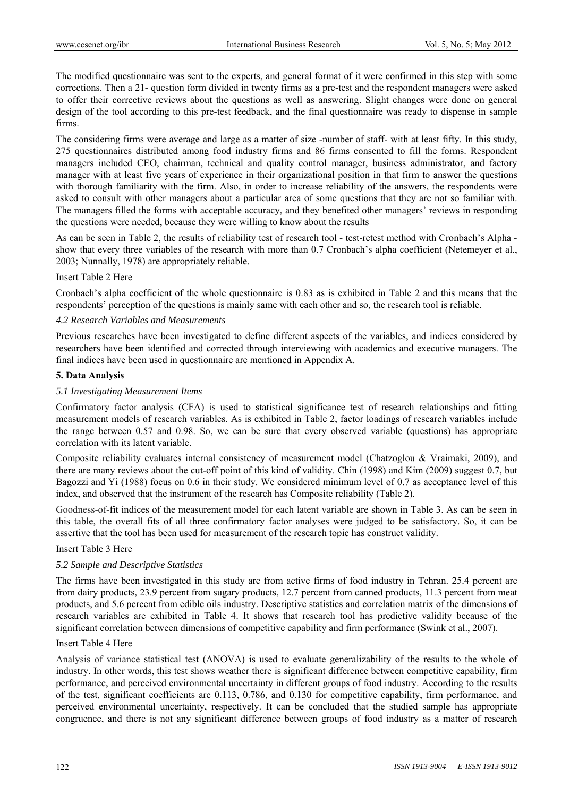The modified questionnaire was sent to the experts, and general format of it were confirmed in this step with some corrections. Then a 21- question form divided in twenty firms as a pre-test and the respondent managers were asked to offer their corrective reviews about the questions as well as answering. Slight changes were done on general design of the tool according to this pre-test feedback, and the final questionnaire was ready to dispense in sample firms.

The considering firms were average and large as a matter of size -number of staff- with at least fifty. In this study, 275 questionnaires distributed among food industry firms and 86 firms consented to fill the forms. Respondent managers included CEO, chairman, technical and quality control manager, business administrator, and factory manager with at least five years of experience in their organizational position in that firm to answer the questions with thorough familiarity with the firm. Also, in order to increase reliability of the answers, the respondents were asked to consult with other managers about a particular area of some questions that they are not so familiar with. The managers filled the forms with acceptable accuracy, and they benefited other managers' reviews in responding the questions were needed, because they were willing to know about the results

As can be seen in Table 2, the results of reliability test of research tool - test-retest method with Cronbach's Alpha show that every three variables of the research with more than 0.7 Cronbach's alpha coefficient (Netemeyer et al., 2003; Nunnally, 1978) are appropriately reliable.

## Insert Table 2 Here

Cronbach's alpha coefficient of the whole questionnaire is 0.83 as is exhibited in Table 2 and this means that the respondents' perception of the questions is mainly same with each other and so, the research tool is reliable.

#### *4.2 Research Variables and Measurements*

Previous researches have been investigated to define different aspects of the variables, and indices considered by researchers have been identified and corrected through interviewing with academics and executive managers. The final indices have been used in questionnaire are mentioned in Appendix A.

#### **5. Data Analysis**

#### *5.1 Investigating Measurement Items*

Confirmatory factor analysis (CFA) is used to statistical significance test of research relationships and fitting measurement models of research variables. As is exhibited in Table 2, factor loadings of research variables include the range between 0.57 and 0.98. So, we can be sure that every observed variable (questions) has appropriate correlation with its latent variable.

Composite reliability evaluates internal consistency of measurement model (Chatzoglou & Vraimaki, 2009), and there are many reviews about the cut-off point of this kind of validity. Chin (1998) and Kim (2009) suggest 0.7, but Bagozzi and Yi (1988) focus on 0.6 in their study. We considered minimum level of 0.7 as acceptance level of this index, and observed that the instrument of the research has Composite reliability (Table 2).

Goodness-of-fit indices of the measurement model for each latent variable are shown in Table 3. As can be seen in this table, the overall fits of all three confirmatory factor analyses were judged to be satisfactory. So, it can be assertive that the tool has been used for measurement of the research topic has construct validity.

#### Insert Table 3 Here

#### *5.2 Sample and Descriptive Statistics*

The firms have been investigated in this study are from active firms of food industry in Tehran. 25.4 percent are from dairy products, 23.9 percent from sugary products, 12.7 percent from canned products, 11.3 percent from meat products, and 5.6 percent from edible oils industry. Descriptive statistics and correlation matrix of the dimensions of research variables are exhibited in Table 4. It shows that research tool has predictive validity because of the significant correlation between dimensions of competitive capability and firm performance (Swink et al., 2007).

#### Insert Table 4 Here

Analysis of variance statistical test (ANOVA) is used to evaluate generalizability of the results to the whole of industry. In other words, this test shows weather there is significant difference between competitive capability, firm performance, and perceived environmental uncertainty in different groups of food industry. According to the results of the test, significant coefficients are 0.113, 0.786, and 0.130 for competitive capability, firm performance, and perceived environmental uncertainty, respectively. It can be concluded that the studied sample has appropriate congruence, and there is not any significant difference between groups of food industry as a matter of research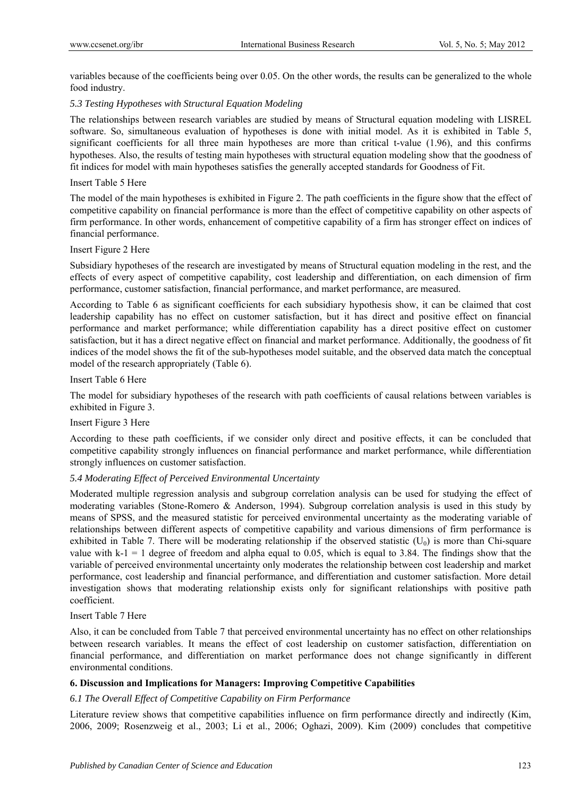variables because of the coefficients being over 0.05. On the other words, the results can be generalized to the whole food industry.

## *5.3 Testing Hypotheses with Structural Equation Modeling*

The relationships between research variables are studied by means of Structural equation modeling with LISREL software. So, simultaneous evaluation of hypotheses is done with initial model. As it is exhibited in Table 5, significant coefficients for all three main hypotheses are more than critical t-value (1.96), and this confirms hypotheses. Also, the results of testing main hypotheses with structural equation modeling show that the goodness of fit indices for model with main hypotheses satisfies the generally accepted standards for Goodness of Fit.

#### Insert Table 5 Here

The model of the main hypotheses is exhibited in Figure 2. The path coefficients in the figure show that the effect of competitive capability on financial performance is more than the effect of competitive capability on other aspects of firm performance. In other words, enhancement of competitive capability of a firm has stronger effect on indices of financial performance.

#### Insert Figure 2 Here

Subsidiary hypotheses of the research are investigated by means of Structural equation modeling in the rest, and the effects of every aspect of competitive capability, cost leadership and differentiation, on each dimension of firm performance, customer satisfaction, financial performance, and market performance, are measured.

According to Table 6 as significant coefficients for each subsidiary hypothesis show, it can be claimed that cost leadership capability has no effect on customer satisfaction, but it has direct and positive effect on financial performance and market performance; while differentiation capability has a direct positive effect on customer satisfaction, but it has a direct negative effect on financial and market performance. Additionally, the goodness of fit indices of the model shows the fit of the sub-hypotheses model suitable, and the observed data match the conceptual model of the research appropriately (Table 6).

#### Insert Table 6 Here

The model for subsidiary hypotheses of the research with path coefficients of causal relations between variables is exhibited in Figure 3.

#### Insert Figure 3 Here

According to these path coefficients, if we consider only direct and positive effects, it can be concluded that competitive capability strongly influences on financial performance and market performance, while differentiation strongly influences on customer satisfaction.

## *5.4 Moderating Effect of Perceived Environmental Uncertainty*

Moderated multiple regression analysis and subgroup correlation analysis can be used for studying the effect of moderating variables (Stone-Romero & Anderson, 1994). Subgroup correlation analysis is used in this study by means of SPSS, and the measured statistic for perceived environmental uncertainty as the moderating variable of relationships between different aspects of competitive capability and various dimensions of firm performance is exhibited in Table 7. There will be moderating relationship if the observed statistic  $(U_0)$  is more than Chi-square value with  $k-1 = 1$  degree of freedom and alpha equal to 0.05, which is equal to 3.84. The findings show that the variable of perceived environmental uncertainty only moderates the relationship between cost leadership and market performance, cost leadership and financial performance, and differentiation and customer satisfaction. More detail investigation shows that moderating relationship exists only for significant relationships with positive path coefficient.

#### Insert Table 7 Here

Also, it can be concluded from Table 7 that perceived environmental uncertainty has no effect on other relationships between research variables. It means the effect of cost leadership on customer satisfaction, differentiation on financial performance, and differentiation on market performance does not change significantly in different environmental conditions.

# **6. Discussion and Implications for Managers: Improving Competitive Capabilities**

## *6.1 The Overall Effect of Competitive Capability on Firm Performance*

Literature review shows that competitive capabilities influence on firm performance directly and indirectly (Kim, 2006, 2009; Rosenzweig et al., 2003; Li et al., 2006; Oghazi, 2009). Kim (2009) concludes that competitive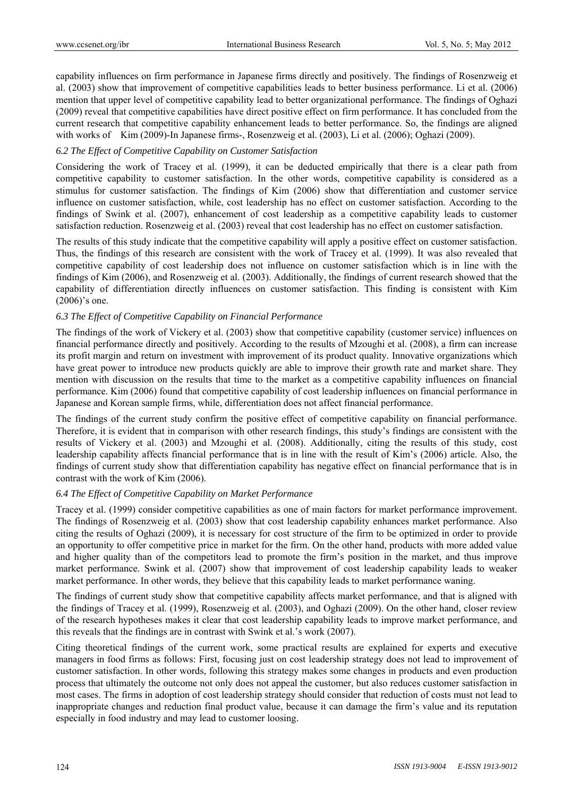capability influences on firm performance in Japanese firms directly and positively. The findings of Rosenzweig et al. (2003) show that improvement of competitive capabilities leads to better business performance. Li et al. (2006) mention that upper level of competitive capability lead to better organizational performance. The findings of Oghazi (2009) reveal that competitive capabilities have direct positive effect on firm performance. It has concluded from the current research that competitive capability enhancement leads to better performance. So, the findings are aligned with works of Kim (2009)-In Japanese firms-, Rosenzweig et al. (2003), Li et al. (2006); Oghazi (2009).

## *6.2 The Effect of Competitive Capability on Customer Satisfaction*

Considering the work of Tracey et al. (1999), it can be deducted empirically that there is a clear path from competitive capability to customer satisfaction. In the other words, competitive capability is considered as a stimulus for customer satisfaction. The findings of Kim (2006) show that differentiation and customer service influence on customer satisfaction, while, cost leadership has no effect on customer satisfaction. According to the findings of Swink et al. (2007), enhancement of cost leadership as a competitive capability leads to customer satisfaction reduction. Rosenzweig et al. (2003) reveal that cost leadership has no effect on customer satisfaction.

The results of this study indicate that the competitive capability will apply a positive effect on customer satisfaction. Thus, the findings of this research are consistent with the work of Tracey et al. (1999). It was also revealed that competitive capability of cost leadership does not influence on customer satisfaction which is in line with the findings of Kim (2006), and Rosenzweig et al. (2003). Additionally, the findings of current research showed that the capability of differentiation directly influences on customer satisfaction. This finding is consistent with Kim (2006)'s one.

# *6.3 The Effect of Competitive Capability on Financial Performance*

The findings of the work of Vickery et al. (2003) show that competitive capability (customer service) influences on financial performance directly and positively. According to the results of Mzoughi et al. (2008), a firm can increase its profit margin and return on investment with improvement of its product quality. Innovative organizations which have great power to introduce new products quickly are able to improve their growth rate and market share. They mention with discussion on the results that time to the market as a competitive capability influences on financial performance. Kim (2006) found that competitive capability of cost leadership influences on financial performance in Japanese and Korean sample firms, while, differentiation does not affect financial performance.

The findings of the current study confirm the positive effect of competitive capability on financial performance. Therefore, it is evident that in comparison with other research findings, this study's findings are consistent with the results of Vickery et al. (2003) and Mzoughi et al. (2008). Additionally, citing the results of this study, cost leadership capability affects financial performance that is in line with the result of Kim's (2006) article. Also, the findings of current study show that differentiation capability has negative effect on financial performance that is in contrast with the work of Kim (2006).

# *6.4 The Effect of Competitive Capability on Market Performance*

Tracey et al. (1999) consider competitive capabilities as one of main factors for market performance improvement. The findings of Rosenzweig et al. (2003) show that cost leadership capability enhances market performance. Also citing the results of Oghazi (2009), it is necessary for cost structure of the firm to be optimized in order to provide an opportunity to offer competitive price in market for the firm. On the other hand, products with more added value and higher quality than of the competitors lead to promote the firm's position in the market, and thus improve market performance. Swink et al. (2007) show that improvement of cost leadership capability leads to weaker market performance. In other words, they believe that this capability leads to market performance waning.

The findings of current study show that competitive capability affects market performance, and that is aligned with the findings of Tracey et al. (1999), Rosenzweig et al. (2003), and Oghazi (2009). On the other hand, closer review of the research hypotheses makes it clear that cost leadership capability leads to improve market performance, and this reveals that the findings are in contrast with Swink et al.'s work (2007).

Citing theoretical findings of the current work, some practical results are explained for experts and executive managers in food firms as follows: First, focusing just on cost leadership strategy does not lead to improvement of customer satisfaction. In other words, following this strategy makes some changes in products and even production process that ultimately the outcome not only does not appeal the customer, but also reduces customer satisfaction in most cases. The firms in adoption of cost leadership strategy should consider that reduction of costs must not lead to inappropriate changes and reduction final product value, because it can damage the firm's value and its reputation especially in food industry and may lead to customer loosing.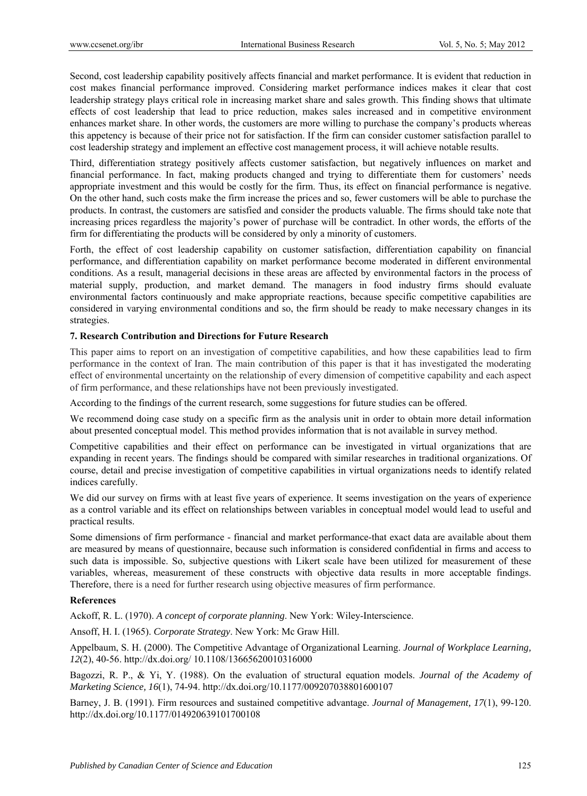Second, cost leadership capability positively affects financial and market performance. It is evident that reduction in cost makes financial performance improved. Considering market performance indices makes it clear that cost leadership strategy plays critical role in increasing market share and sales growth. This finding shows that ultimate effects of cost leadership that lead to price reduction, makes sales increased and in competitive environment enhances market share. In other words, the customers are more willing to purchase the company's products whereas this appetency is because of their price not for satisfaction. If the firm can consider customer satisfaction parallel to cost leadership strategy and implement an effective cost management process, it will achieve notable results.

Third, differentiation strategy positively affects customer satisfaction, but negatively influences on market and financial performance. In fact, making products changed and trying to differentiate them for customers' needs appropriate investment and this would be costly for the firm. Thus, its effect on financial performance is negative. On the other hand, such costs make the firm increase the prices and so, fewer customers will be able to purchase the products. In contrast, the customers are satisfied and consider the products valuable. The firms should take note that increasing prices regardless the majority's power of purchase will be contradict. In other words, the efforts of the firm for differentiating the products will be considered by only a minority of customers.

Forth, the effect of cost leadership capability on customer satisfaction, differentiation capability on financial performance, and differentiation capability on market performance become moderated in different environmental conditions. As a result, managerial decisions in these areas are affected by environmental factors in the process of material supply, production, and market demand. The managers in food industry firms should evaluate environmental factors continuously and make appropriate reactions, because specific competitive capabilities are considered in varying environmental conditions and so, the firm should be ready to make necessary changes in its strategies.

# **7. Research Contribution and Directions for Future Research**

This paper aims to report on an investigation of competitive capabilities, and how these capabilities lead to firm performance in the context of Iran. The main contribution of this paper is that it has investigated the moderating effect of environmental uncertainty on the relationship of every dimension of competitive capability and each aspect of firm performance, and these relationships have not been previously investigated.

According to the findings of the current research, some suggestions for future studies can be offered.

We recommend doing case study on a specific firm as the analysis unit in order to obtain more detail information about presented conceptual model. This method provides information that is not available in survey method.

Competitive capabilities and their effect on performance can be investigated in virtual organizations that are expanding in recent years. The findings should be compared with similar researches in traditional organizations. Of course, detail and precise investigation of competitive capabilities in virtual organizations needs to identify related indices carefully.

We did our survey on firms with at least five years of experience. It seems investigation on the years of experience as a control variable and its effect on relationships between variables in conceptual model would lead to useful and practical results.

Some dimensions of firm performance - financial and market performance-that exact data are available about them are measured by means of questionnaire, because such information is considered confidential in firms and access to such data is impossible. So, subjective questions with Likert scale have been utilized for measurement of these variables, whereas, measurement of these constructs with objective data results in more acceptable findings. Therefore, there is a need for further research using objective measures of firm performance.

# **References**

Ackoff, R. L. (1970). *A concept of corporate planning*. New York: Wiley-Interscience.

Ansoff, H. I. (1965). *Corporate Strategy*. New York: Mc Graw Hill.

Appelbaum, S. H. (2000). The Competitive Advantage of Organizational Learning. *Journal of Workplace Learning, 12*(2), 40-56. http://dx.doi.org/ 10.1108/13665620010316000

Bagozzi, R. P., & Yi, Y. (1988). On the evaluation of structural equation models. *Journal of the Academy of Marketing Science, 16*(1), 74-94. http://dx.doi.org/10.1177/009207038801600107

Barney, J. B. (1991). Firm resources and sustained competitive advantage. *Journal of Management, 17*(1), 99-120. http://dx.doi.org/10.1177/014920639101700108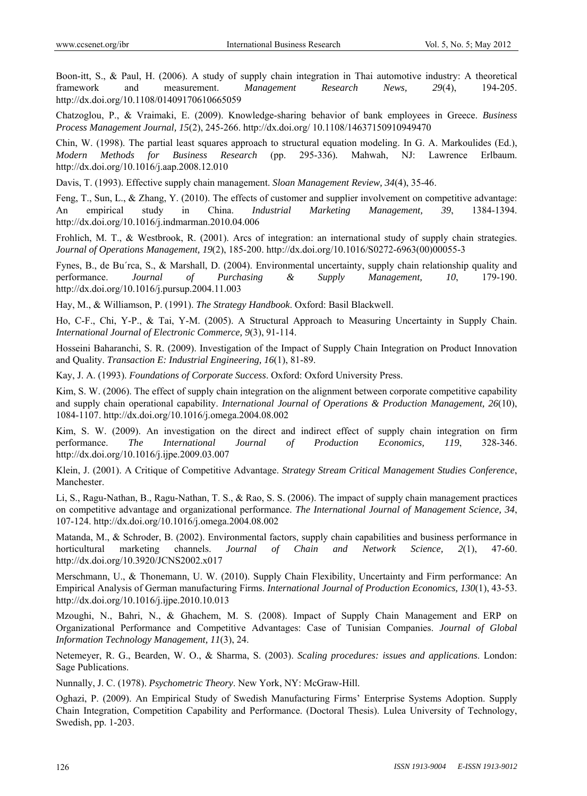Boon-itt, S., & Paul, H. (2006). A study of supply chain integration in Thai automotive industry: A theoretical framework and measurement. *Management Research News, 29*(4), 194-205. http://dx.doi.org/10.1108/01409170610665059

Chatzoglou, P., & Vraimaki, E. (2009). Knowledge-sharing behavior of bank employees in Greece. *Business Process Management Journal, 15*(2), 245-266. http://dx.doi.org/ 10.1108/14637150910949470

Chin, W. (1998). The partial least squares approach to structural equation modeling. In G. A. Markoulides (Ed.), *Modern Methods for Business Research* (pp. 295-336)*.* Mahwah, NJ: Lawrence Erlbaum. http://dx.doi.org/10.1016/j.aap.2008.12.010

Davis, T. (1993). Effective supply chain management. *Sloan Management Review, 34*(4), 35-46.

Feng, T., Sun, L., & Zhang, Y. (2010). The effects of customer and supplier involvement on competitive advantage: An empirical study in China. *Industrial Marketing Management, 39*, 1384-1394. http://dx.doi.org/10.1016/j.indmarman.2010.04.006

Frohlich, M. T., & Westbrook, R. (2001). Arcs of integration: an international study of supply chain strategies. *Journal of Operations Management, 19*(2), 185-200. http://dx.doi.org/10.1016/S0272-6963(00)00055-3

Fynes, B., de Bu´rca, S., & Marshall, D. (2004). Environmental uncertainty, supply chain relationship quality and performance. *Journal of Purchasing & Supply Management, 10*, 179-190. http://dx.doi.org/10.1016/j.pursup.2004.11.003

Hay, M., & Williamson, P. (1991). *The Strategy Handbook*. Oxford: Basil Blackwell.

Ho, C-F., Chi, Y-P., & Tai, Y-M. (2005). A Structural Approach to Measuring Uncertainty in Supply Chain. *International Journal of Electronic Commerce, 9*(3), 91-114.

Hosseini Baharanchi, S. R. (2009). Investigation of the Impact of Supply Chain Integration on Product Innovation and Quality. *Transaction E: Industrial Engineering, 16*(1), 81-89.

Kay, J. A. (1993). *Foundations of Corporate Success*. Oxford: Oxford University Press.

Kim, S. W. (2006). The effect of supply chain integration on the alignment between corporate competitive capability and supply chain operational capability. *International Journal of Operations & Production Management, 26*(10), 1084-1107. http://dx.doi.org/10.1016/j.omega.2004.08.002

Kim, S. W. (2009). An investigation on the direct and indirect effect of supply chain integration on firm performance. *The International Journal of Production Economics, 119*, 328-346. http://dx.doi.org/10.1016/j.ijpe.2009.03.007

Klein, J. (2001). A Critique of Competitive Advantage. *Strategy Stream Critical Management Studies Conference*, Manchester.

Li, S., Ragu-Nathan, B., Ragu-Nathan, T. S., & Rao, S. S. (2006). The impact of supply chain management practices on competitive advantage and organizational performance. *The International Journal of Management Science, 34*, 107-124. http://dx.doi.org/10.1016/j.omega.2004.08.002

Matanda, M., & Schroder, B. (2002). Environmental factors, supply chain capabilities and business performance in horticultural marketing channels. *Journal of Chain and Network Science, 2*(1), 47-60. http://dx.doi.org/10.3920/JCNS2002.x017

Merschmann, U., & Thonemann, U. W. (2010). Supply Chain Flexibility, Uncertainty and Firm performance: An Empirical Analysis of German manufacturing Firms. *International Journal of Production Economics, 130*(1), 43-53. http://dx.doi.org/10.1016/j.ijpe.2010.10.013

Mzoughi, N., Bahri, N., & Ghachem, M. S. (2008). Impact of Supply Chain Management and ERP on Organizational Performance and Competitive Advantages: Case of Tunisian Companies. *Journal of Global Information Technology Management, 11*(3), 24.

Netemeyer, R. G., Bearden, W. O., & Sharma, S. (2003). *Scaling procedures: issues and applications*. London: Sage Publications.

Nunnally, J. C. (1978). *Psychometric Theory*. New York, NY: McGraw-Hill.

Oghazi, P. (2009). An Empirical Study of Swedish Manufacturing Firms' Enterprise Systems Adoption. Supply Chain Integration, Competition Capability and Performance. (Doctoral Thesis). Lulea University of Technology, Swedish, pp. 1-203.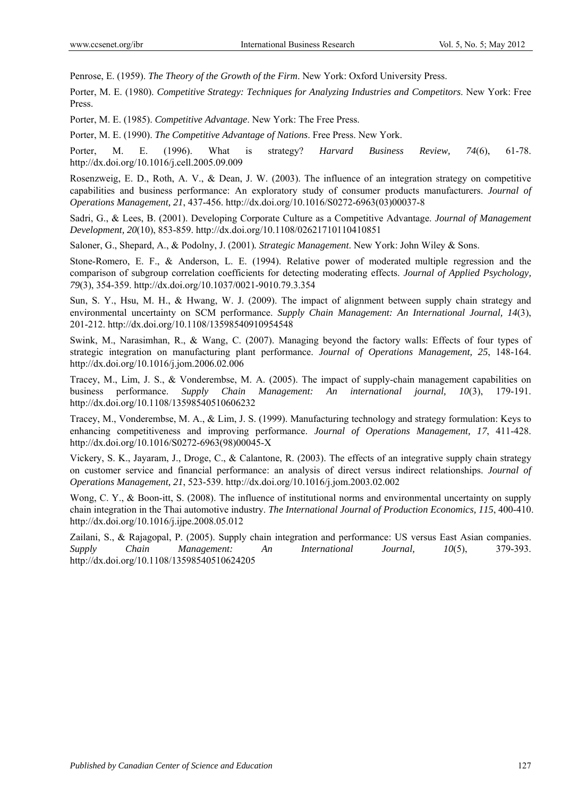Penrose, E. (1959). *The Theory of the Growth of the Firm*. New York: Oxford University Press.

Porter, M. E. (1980). *Competitive Strategy: Techniques for Analyzing Industries and Competitors*. New York: Free Press.

Porter, M. E. (1985). *Competitive Advantage*. New York: The Free Press.

Porter, M. E. (1990). *The Competitive Advantage of Nations*. Free Press. New York.

Porter, M. E. (1996). What is strategy? *Harvard Business Review, 74*(6), 61-78. http://dx.doi.org/10.1016/j.cell.2005.09.009

Rosenzweig, E. D., Roth, A. V., & Dean, J. W. (2003). The influence of an integration strategy on competitive capabilities and business performance: An exploratory study of consumer products manufacturers. *Journal of Operations Management, 21*, 437-456. http://dx.doi.org/10.1016/S0272-6963(03)00037-8

Sadri, G., & Lees, B. (2001). Developing Corporate Culture as a Competitive Advantage. *Journal of Management Development, 20*(10), 853-859. http://dx.doi.org/10.1108/02621710110410851

Saloner, G., Shepard, A., & Podolny, J. (2001)*. Strategic Management*. New York: John Wiley & Sons.

Stone-Romero, E. F., & Anderson, L. E. (1994). Relative power of moderated multiple regression and the comparison of subgroup correlation coefficients for detecting moderating effects. *Journal of Applied Psychology, 79*(3), 354-359. http://dx.doi.org/10.1037/0021-9010.79.3.354

Sun, S. Y., Hsu, M. H., & Hwang, W. J. (2009). The impact of alignment between supply chain strategy and environmental uncertainty on SCM performance. *Supply Chain Management: An International Journal, 14*(3), 201-212. http://dx.doi.org/10.1108/13598540910954548

Swink, M., Narasimhan, R., & Wang, C. (2007). Managing beyond the factory walls: Effects of four types of strategic integration on manufacturing plant performance. *Journal of Operations Management, 25*, 148-164. http://dx.doi.org/10.1016/j.jom.2006.02.006

Tracey, M., Lim, J. S., & Vonderembse, M. A. (2005). The impact of supply-chain management capabilities on business performance. *Supply Chain Management: An international journal, 10*(3), 179-191. http://dx.doi.org/10.1108/13598540510606232

Tracey, M., Vonderembse, M. A., & Lim, J. S. (1999). Manufacturing technology and strategy formulation: Keys to enhancing competitiveness and improving performance. *Journal of Operations Management, 17*, 411-428. http://dx.doi.org/10.1016/S0272-6963(98)00045-X

Vickery, S. K., Jayaram, J., Droge, C., & Calantone, R. (2003). The effects of an integrative supply chain strategy on customer service and financial performance: an analysis of direct versus indirect relationships. *Journal of Operations Management, 21*, 523-539. http://dx.doi.org/10.1016/j.jom.2003.02.002

Wong, C. Y., & Boon-itt, S. (2008). The influence of institutional norms and environmental uncertainty on supply chain integration in the Thai automotive industry. *The International Journal of Production Economics, 115*, 400-410. http://dx.doi.org/10.1016/j.ijpe.2008.05.012

Zailani, S., & Rajagopal, P. (2005). Supply chain integration and performance: US versus East Asian companies. *Supply Chain Management: An International Journal, 10*(5), 379-393. http://dx.doi.org/10.1108/13598540510624205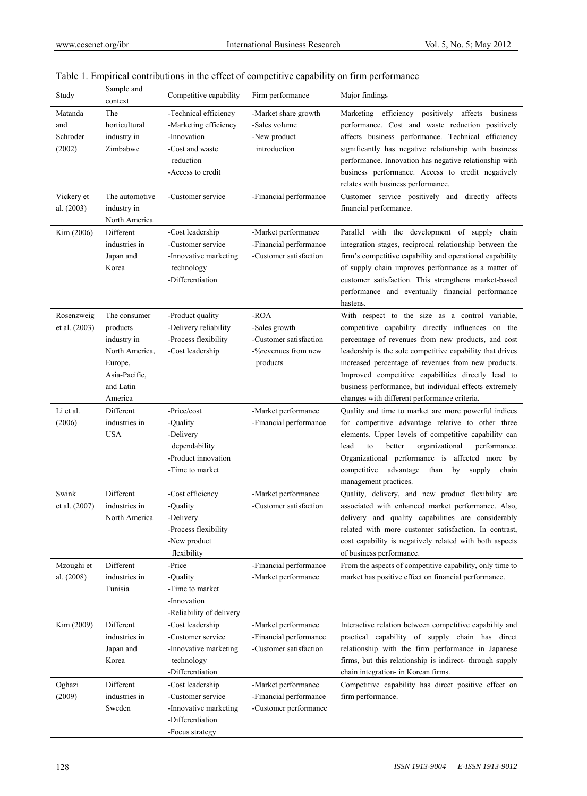| Study                                | Sample and<br>context                                                                                         | Competitive capability                                                                                             | Firm performance                                                                   | Major findings                                                                                                                                                                                                                                                                                                                                                                                                                                 |
|--------------------------------------|---------------------------------------------------------------------------------------------------------------|--------------------------------------------------------------------------------------------------------------------|------------------------------------------------------------------------------------|------------------------------------------------------------------------------------------------------------------------------------------------------------------------------------------------------------------------------------------------------------------------------------------------------------------------------------------------------------------------------------------------------------------------------------------------|
| Matanda<br>and<br>Schroder<br>(2002) | The<br>horticultural<br>industry in<br>Zimbabwe                                                               | -Technical efficiency<br>-Marketing efficiency<br>-Innovation<br>-Cost and waste<br>reduction<br>-Access to credit | -Market share growth<br>-Sales volume<br>-New product<br>introduction              | Marketing efficiency positively affects business<br>performance. Cost and waste reduction positively<br>affects business performance. Technical efficiency<br>significantly has negative relationship with business<br>performance. Innovation has negative relationship with<br>business performance. Access to credit negatively<br>relates with business performance.                                                                       |
| Vickery et<br>al. (2003)             | The automotive<br>industry in<br>North America                                                                | -Customer service                                                                                                  | -Financial performance                                                             | Customer service positively and directly affects<br>financial performance.                                                                                                                                                                                                                                                                                                                                                                     |
| Kim (2006)                           | Different<br>industries in<br>Japan and<br>Korea                                                              | -Cost leadership<br>-Customer service<br>-Innovative marketing<br>technology<br>-Differentiation                   | -Market performance<br>-Financial performance<br>-Customer satisfaction            | Parallel with the development of supply chain<br>integration stages, reciprocal relationship between the<br>firm's competitive capability and operational capability<br>of supply chain improves performance as a matter of<br>customer satisfaction. This strengthens market-based<br>performance and eventually financial performance<br>hastens.                                                                                            |
| Rosenzweig<br>et al. (2003)          | The consumer<br>products<br>industry in<br>North America,<br>Europe,<br>Asia-Pacific,<br>and Latin<br>America | -Product quality<br>-Delivery reliability<br>-Process flexibility<br>-Cost leadership                              | -ROA<br>-Sales growth<br>-Customer satisfaction<br>-%revenues from new<br>products | With respect to the size as a control variable,<br>competitive capability directly influences on the<br>percentage of revenues from new products, and cost<br>leadership is the sole competitive capability that drives<br>increased percentage of revenues from new products.<br>Improved competitive capabilities directly lead to<br>business performance, but individual effects extremely<br>changes with different performance criteria. |
| Li et al.<br>(2006)                  | Different<br>industries in<br><b>USA</b>                                                                      | -Price/cost<br>-Quality<br>-Delivery<br>dependability<br>-Product innovation<br>-Time to market                    | -Market performance<br>-Financial performance                                      | Quality and time to market are more powerful indices<br>for competitive advantage relative to other three<br>elements. Upper levels of competitive capability can<br>lead<br>better<br>organizational<br>performance.<br>to<br>Organizational performance is affected more by<br>advantage<br>competitive<br>than<br>by<br>supply<br>chain<br>management practices.                                                                            |
| Swink<br>et al. (2007)               | Different<br>industries in<br>North America                                                                   | -Cost efficiency<br>-Quality<br>-Delivery<br>-Process flexibility<br>-New product<br>flexibility                   | -Market performance<br>-Customer satisfaction                                      | Quality, delivery, and new product flexibility are<br>associated with enhanced market performance. Also,<br>delivery and quality capabilities are considerably<br>related with more customer satisfaction. In contrast,<br>cost capability is negatively related with both aspects<br>of business performance.                                                                                                                                 |
| Mzoughi et<br>al. (2008)             | Different<br>industries in<br>Tunisia                                                                         | -Price<br>-Quality<br>-Time to market<br>-Innovation<br>-Reliability of delivery                                   | -Financial performance<br>-Market performance                                      | From the aspects of competitive capability, only time to<br>market has positive effect on financial performance.                                                                                                                                                                                                                                                                                                                               |
| Kim (2009)                           | Different<br>industries in<br>Japan and<br>Korea                                                              | -Cost leadership<br>-Customer service<br>-Innovative marketing<br>technology<br>-Differentiation                   | -Market performance<br>-Financial performance<br>-Customer satisfaction            | Interactive relation between competitive capability and<br>practical capability of supply chain has direct<br>relationship with the firm performance in Japanese<br>firms, but this relationship is indirect- through supply<br>chain integration- in Korean firms.                                                                                                                                                                            |
| Oghazi<br>(2009)                     | Different<br>industries in<br>Sweden                                                                          | -Cost leadership<br>-Customer service<br>-Innovative marketing<br>-Differentiation<br>-Focus strategy              | -Market performance<br>-Financial performance<br>-Customer performance             | Competitive capability has direct positive effect on<br>firm performance.                                                                                                                                                                                                                                                                                                                                                                      |

# Table 1. Empirical contributions in the effect of competitive capability on firm performance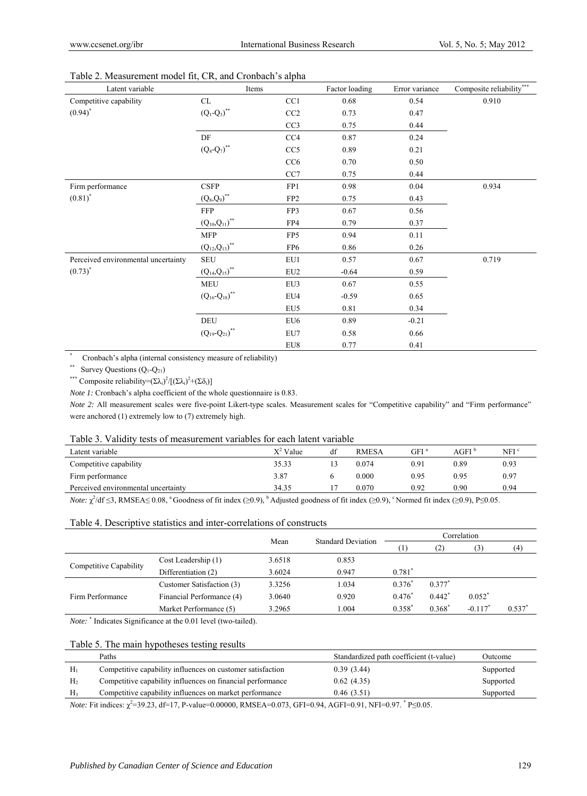| Latent variable                     | Items                       |                 | Factor loading | Error variance | Composite reliability*** |
|-------------------------------------|-----------------------------|-----------------|----------------|----------------|--------------------------|
| Competitive capability              | CL                          | CC1             | 0.68           | 0.54           | 0.910                    |
| $(0.94)^*$                          | $(Q_1-Q_3)^{**}$            | CC2             | 0.73           | 0.47           |                          |
|                                     |                             | CC3             | 0.75           | 0.44           |                          |
|                                     | DF                          | CC4             | 0.87           | 0.24           |                          |
|                                     | $(Q_4-Q_7)^{**}$            | CC <sub>5</sub> | 0.89           | 0.21           |                          |
|                                     |                             | CC <sub>6</sub> | 0.70           | 0.50           |                          |
|                                     |                             | CC7             | 0.75           | 0.44           |                          |
| Firm performance                    | <b>CSFP</b>                 | FP1             | 0.98           | 0.04           | 0.934                    |
| $(0.81)^*$                          | $\left(Q_8,Q_9\right)^{**}$ | FP <sub>2</sub> | 0.75           | 0.43           |                          |
|                                     | <b>FFP</b>                  | FP3             | 0.67           | 0.56           |                          |
|                                     | $(Q_{10}, Q_{11})^{**}$     | FP4             | 0.79           | 0.37           |                          |
|                                     | <b>MFP</b>                  | FP5             | 0.94           | 0.11           |                          |
|                                     | $(Q_{12}, Q_{13})^{**}$     | FP <sub>6</sub> | 0.86           | 0.26           |                          |
| Perceived environmental uncertainty | <b>SEU</b>                  | EU1             | 0.57           | 0.67           | 0.719                    |
| $(0.73)^*$                          | $(Q_{14}, Q_{15})^{**}$     | EU <sub>2</sub> | $-0.64$        | 0.59           |                          |
|                                     | <b>MEU</b>                  | EU3             | 0.67           | 0.55           |                          |
|                                     | $(Q_{16} - Q_{18})^{**}$    | EU4             | $-0.59$        | 0.65           |                          |
|                                     |                             | EU5             | 0.81           | 0.34           |                          |
|                                     | <b>DEU</b>                  | EU <sub>6</sub> | 0.89           | $-0.21$        |                          |
|                                     | $(Q_{19} - Q_{21})^{**}$    | EU7             | 0.58           | 0.66           |                          |
|                                     |                             | EU8             | 0.77           | 0.41           |                          |

#### Table 2. Measurement model fit, CR, and Cronbach's alpha

\* Cronbach's alpha (internal consistency measure of reliability)

\*\* Survey Questions  $(Q_1-Q_{21})$ 

<sup>\*\*\*</sup> Composite reliability= $(\Sigma \lambda_i)^2/[(\Sigma \lambda_i)^2+(\Sigma \delta_i)]$ 

*Note 1:* Cronbach's alpha coefficient of the whole questionnaire is 0.83.

*Note 2*: All measurement scales were five-point Likert-type scales. Measurement scales for "Competitive capability" and "Firm performance" were anchored (1) extremely low to (7) extremely high.

#### Table 3. Validity tests of measurement variables for each latent variable

| Latent variable                     | $X^2$ Value | df | <b>RMESA</b> | GFI <sup>a</sup> | AGFI <sup>b</sup> | NFI <sup>c</sup> |
|-------------------------------------|-------------|----|--------------|------------------|-------------------|------------------|
| Competitive capability              | 35.33       |    | 0.074        | 0.91             | 0.89              | 0.93             |
| Firm performance                    | 3.87        |    | 0.000        | 0.95             | 0.95              | 0.97             |
| Perceived environmental uncertainty | 34.35       |    | 0.070        | 0.92             | 0.90              | 0.94             |
|                                     |             |    |              |                  |                   |                  |

*Note:*  $\chi^2$ /df ≤3, RMSEA≤ 0.08, <sup>a</sup> Goodness of fit index (≥0.9), <sup>b</sup> Adjusted goodness of fit index (≥0.9), °Normed fit index (≥0.9), P≤0.05.

#### Table 4. Descriptive statistics and inter-correlations of constructs

|                           |        |       | Correlation               |           |           |                      |
|---------------------------|--------|-------|---------------------------|-----------|-----------|----------------------|
|                           |        |       |                           | (2)       | (3)       | (4)                  |
| Cost Leadership (1)       | 3.6518 | 0.853 |                           |           |           |                      |
| Differentiation (2)       | 3.6024 | 0.947 | $0.781$ <sup>*</sup>      |           |           |                      |
| Customer Satisfaction (3) | 3.3256 | 1.034 | $0.376^*$                 | $0.377$ * |           |                      |
| Financial Performance (4) | 3.0640 | 0.920 | $0.476*$                  | $0.442*$  | $0.052^*$ |                      |
| Market Performance (5)    | 3.2965 | 1.004 | $0.358*$                  | $0.368^*$ | $-0.117$  | $0.537$ <sup>*</sup> |
|                           |        | Mean  | <b>Standard Deviation</b> |           |           |                      |

*Note:* \* Indicates Significance at the 0.01 level (two-tailed).

#### Table 5. The main hypotheses testing results

|                | Paths                                                      | Standardized path coefficient (t-value) | Outcome   |
|----------------|------------------------------------------------------------|-----------------------------------------|-----------|
| H <sub>1</sub> | Competitive capability influences on customer satisfaction | 0.39(3.44)                              | Supported |
| H <sub>2</sub> | Competitive capability influences on financial performance | 0.62(4.35)                              | Supported |
| H <sub>3</sub> | Competitive capability influences on market performance    | 0.46(3.51)                              | Supported |
|                |                                                            |                                         |           |

*Note:* Fit indices: χ<sup>2</sup>=39.23, df=17, P-value=0.00000, RMSEA=0.073, GFI=0.94, AGFI=0.91, NFI=0.97. <sup>\*</sup> P≤0.05.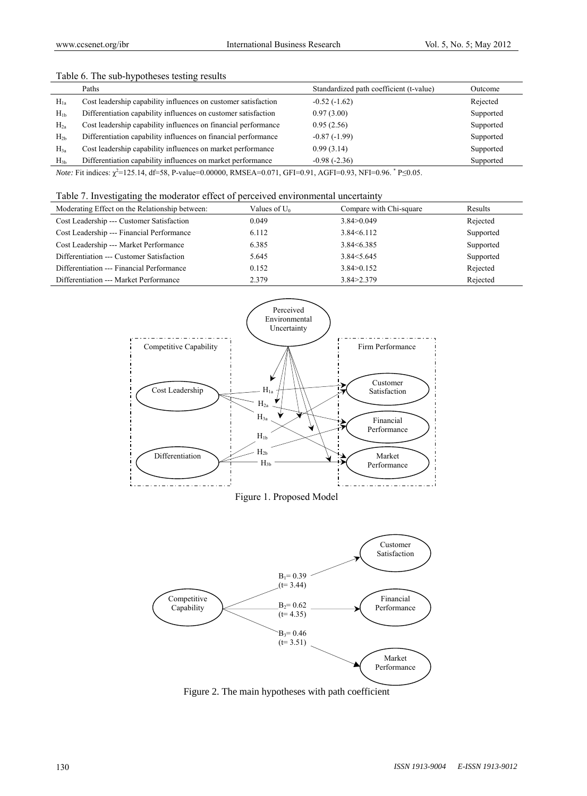|          | Table 0. The sub-hypotheses testing results                    |                                         |           |  |  |  |
|----------|----------------------------------------------------------------|-----------------------------------------|-----------|--|--|--|
|          | Paths                                                          | Standardized path coefficient (t-value) | Outcome   |  |  |  |
| $H_{1a}$ | Cost leadership capability influences on customer satisfaction | $-0.52(-1.62)$                          | Rejected  |  |  |  |
| $H_{1b}$ | Differentiation capability influences on customer satisfaction | 0.97(3.00)                              | Supported |  |  |  |
| $H_{2a}$ | Cost leadership capability influences on financial performance | 0.95(2.56)                              | Supported |  |  |  |
| $H_{2h}$ | Differentiation capability influences on financial performance | $-0.87(-1.99)$                          | Supported |  |  |  |
| $H_{3a}$ | Cost leadership capability influences on market performance    | 0.99(3.14)                              | Supported |  |  |  |
| $H_{3b}$ | Differentiation capability influences on market performance    | $-0.98(-2.36)$                          | Supported |  |  |  |

Table 6. The sub-hypotheses testing results

*Note:* Fit indices:  $\chi^2$ =125.14, df=58, P-value=0.00000, RMSEA=0.071, GFI=0.91, AGFI=0.93, NFI=0.96.  $*$  P≤0.05.

# Table 7. Investigating the moderator effect of perceived environmental uncertainty

| Moderating Effect on the Relationship between: | Values of $U_0$ | Compare with Chi-square | Results   |
|------------------------------------------------|-----------------|-------------------------|-----------|
| Cost Leadership --- Customer Satisfaction      | 0.049           | 3.84 > 0.049            | Rejected  |
| Cost Leadership --- Financial Performance      | 6.112           | $3.84 \leq 6.112$       | Supported |
| Cost Leadership --- Market Performance         | 6.385           | $3.84 \leq 6.385$       | Supported |
| Differentiation --- Customer Satisfaction      | 5.645           | 3.84 < 5.645            | Supported |
| Differentiation --- Financial Performance      | 0.152           | 3.84 > 0.152            | Rejected  |
| Differentiation --- Market Performance         | 2.379           | 3.84 > 2.379            | Rejected  |





Figure 2. The main hypotheses with path coefficient